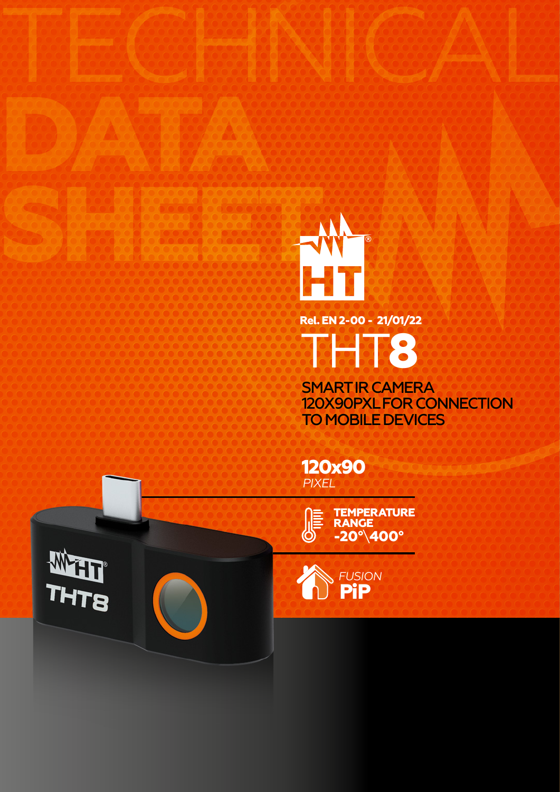

TECHNICAL

SMART IR CAMERA 120X90PXL FOR CONNECTION TO MOBILE DEVICES

**120x90** *PIXEL*

> **-20°**\**400° TEMPERATURE RANGE**



**DATA**

**PiP** *FUSION*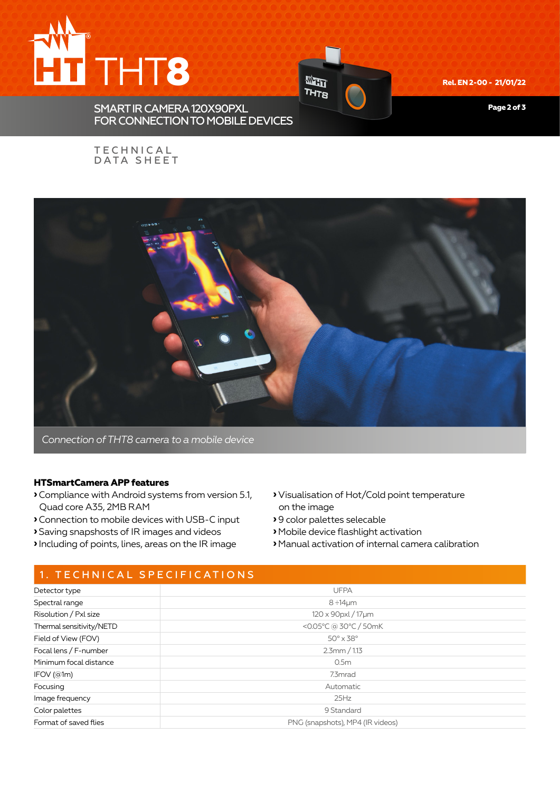

Wer **THTB** FOR CONNECTION TO MOBILE DEVICES

**Rel. EN 2-00 - 21/01/22**

**Page 2 of 3**

### **TECHNICAL** DATA SHEET

SMART IR CAMERA 120X90PXL



*Connection of THT8 camera to a mobile device*

### **HTSmartCamera APP features**

- **›**Compliance with Android systems from version 5.1, Quad core A35, 2MB RAM
- **›**Connection to mobile devices with USB-C input
- **›** Saving snapshosts of IR images and videos
- **›**Including of points, lines, areas on the IR image
- **›** Visualisation of Hot/Cold point temperature on the image
- **›** 9 color palettes selecable
- **›** Mobile device flashlight activation
- **›** Manual activation of internal camera calibration

# 1. TECHNICAL SPECIFICATIONS

| Detector type            | <b>UFPA</b>                      |  |
|--------------------------|----------------------------------|--|
| Spectral range           | $8 ÷ 14 \mu m$                   |  |
| Risolution / Pxl size    | 120 x 90 pxl / 17 µm             |  |
| Thermal sensitivity/NETD | <0.05°C @ 30°C / 50mK            |  |
| Field of View (FOV)      | $50^\circ \times 38^\circ$       |  |
| Focal lens / F-number    | $2.3$ mm / 1.13                  |  |
| Minimum focal distance   | 0.5 <sub>m</sub>                 |  |
| IFOV(@1m)                | 7.3mrad                          |  |
| Focusing                 | Automatic                        |  |
| Image frequency          | 25Hz                             |  |
| Color palettes           | 9 Standard                       |  |
| Format of saved flies    | PNG (snapshots), MP4 (IR videos) |  |